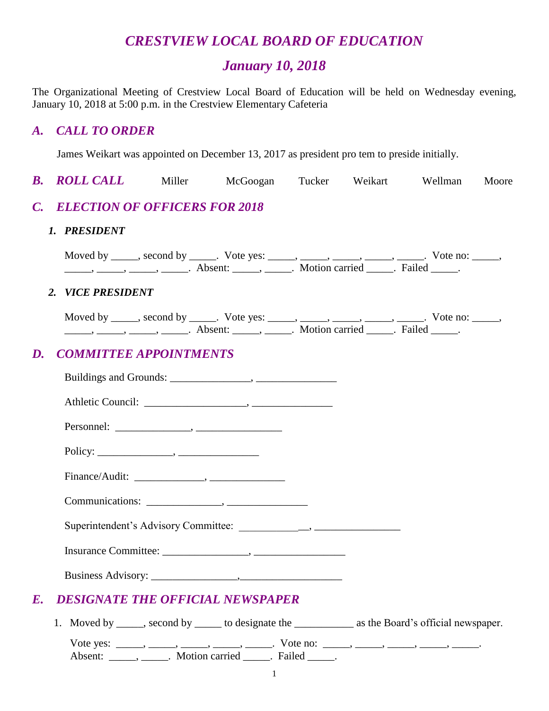# *CRESTVIEW LOCAL BOARD OF EDUCATION*

## *January 10, 2018*

The Organizational Meeting of Crestview Local Board of Education will be held on Wednesday evening, January 10, 2018 at 5:00 p.m. in the Crestview Elementary Cafeteria

#### *A. CALL TO ORDER*

James Weikart was appointed on December 13, 2017 as president pro tem to preside initially.

**B. ROLL CALL** Miller McGoogan Tucker Weikart Wellman Moore *C. ELECTION OF OFFICERS FOR 2018 1. PRESIDENT* Moved by \_\_\_\_\_, second by \_\_\_\_\_. Vote yes: \_\_\_\_\_, \_\_\_\_\_, \_\_\_\_\_, \_\_\_\_\_, \_\_\_\_\_. Vote no: \_\_\_\_\_, \_\_\_\_\_\_, \_\_\_\_\_\_, \_\_\_\_\_\_\_. Absent: \_\_\_\_\_\_, \_\_\_\_\_\_. Motion carried \_\_\_\_\_. Failed \_\_\_\_\_. *2. VICE PRESIDENT* Moved by \_\_\_\_\_, second by \_\_\_\_\_. Vote yes: \_\_\_\_\_, \_\_\_\_\_, \_\_\_\_\_, \_\_\_\_\_, \_\_\_\_\_. Vote no: \_\_\_\_\_, \_\_\_\_\_, \_\_\_\_\_, \_\_\_\_\_, \_\_\_\_\_. Absent: \_\_\_\_\_, \_\_\_\_\_. Motion carried \_\_\_\_\_. Failed \_\_\_\_\_. *D. COMMITTEE APPOINTMENTS* Buildings and Grounds: \_\_\_\_\_\_\_\_\_\_\_\_\_\_\_, \_\_\_\_\_\_\_\_\_\_\_\_\_\_\_ Athletic Council: \_\_\_\_\_\_\_\_\_\_\_\_\_\_\_\_\_\_\_, \_\_\_\_\_\_\_\_\_\_\_\_\_\_\_ Personnel: \_\_\_\_\_\_\_\_\_\_\_\_\_\_, \_\_\_\_\_\_\_\_\_\_\_\_\_\_\_\_ Policy: \_\_\_\_\_\_\_\_\_\_\_\_\_\_, \_\_\_\_\_\_\_\_\_\_\_\_\_\_\_ Finance/Audit: \_\_\_\_\_\_\_\_\_\_\_\_\_, \_\_\_\_\_\_\_\_\_\_\_\_\_\_ Communications: \_\_\_\_\_\_\_\_\_\_\_\_\_\_, \_\_\_\_\_\_\_\_\_\_\_\_\_\_\_ Superintendent's Advisory Committee: \_\_\_\_\_\_\_\_\_\_\_\_\_, \_\_\_\_\_\_\_\_\_\_\_\_\_\_\_\_ Insurance Committee: \_\_\_\_\_\_\_\_\_\_\_\_\_\_\_\_, \_\_\_\_\_\_\_\_\_\_\_\_\_\_\_\_\_ Business Advisory: \_\_\_\_\_\_\_\_\_\_\_\_\_\_\_\_,\_\_\_\_\_\_\_\_\_\_\_\_\_\_\_\_\_\_\_ *E. DESIGNATE THE OFFICIAL NEWSPAPER* 1. Moved by second by to designate the as the Board's official newspaper. Vote yes: \_\_\_\_\_, \_\_\_\_\_, \_\_\_\_\_, \_\_\_\_\_, \_\_\_\_\_\_. Vote no: \_\_\_\_\_, \_\_\_\_\_, \_\_\_\_\_, \_\_\_\_\_, \_\_\_\_\_\_. Absent: \_\_\_\_\_\_, \_\_\_\_\_\_. Motion carried \_\_\_\_\_. Failed \_\_\_\_\_.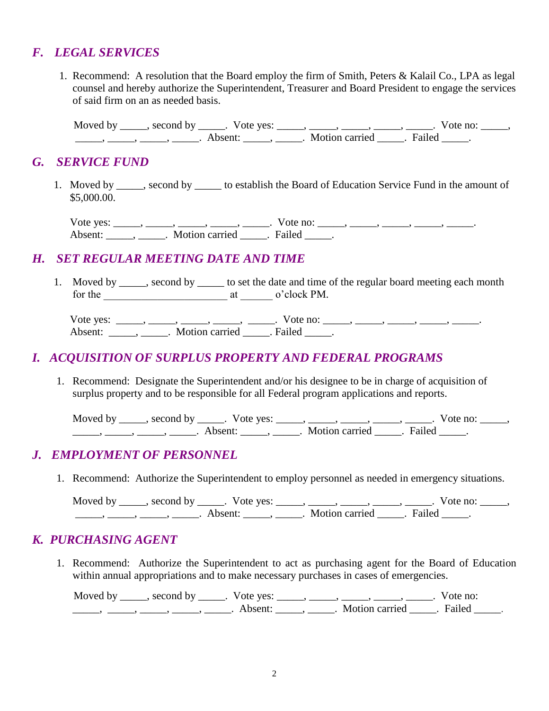### *F. LEGAL SERVICES*

1. Recommend: A resolution that the Board employ the firm of Smith, Peters & Kalail Co., LPA as legal counsel and hereby authorize the Superintendent, Treasurer and Board President to engage the services of said firm on an as needed basis.

Moved by \_\_\_\_\_, second by \_\_\_\_\_. Vote yes: \_\_\_\_\_, \_\_\_\_\_, \_\_\_\_\_, \_\_\_\_\_, \_\_\_\_\_. Vote no: \_\_\_\_\_, \_\_\_\_\_, \_\_\_\_\_, \_\_\_\_\_, \_\_\_\_\_. Absent: \_\_\_\_\_, \_\_\_\_\_. Motion carried \_\_\_\_\_. Failed \_\_\_\_\_.

#### *G. SERVICE FUND*

 1. Moved by \_\_\_\_\_, second by \_\_\_\_\_ to establish the Board of Education Service Fund in the amount of \$5,000.00.

Vote yes: \_\_\_\_\_, \_\_\_\_\_, \_\_\_\_\_, \_\_\_\_\_, Vote no: \_\_\_\_\_, \_\_\_\_\_, \_\_\_\_\_, \_\_\_\_\_, \_\_\_\_\_\_, Absent: \_\_\_\_\_, \_\_\_\_\_. Motion carried \_\_\_\_\_. Failed \_\_\_\_\_.

## *H. SET REGULAR MEETING DATE AND TIME*

1. Moved by \_\_\_\_\_, second by \_\_\_\_\_ to set the date and time of the regular board meeting each month for the \_\_\_\_\_\_\_\_\_\_\_\_\_\_\_\_\_\_\_\_\_\_\_ at \_\_\_\_\_\_ o'clock PM.

Vote yes: \_\_\_\_\_, \_\_\_\_\_, \_\_\_\_\_, \_\_\_\_\_, Vote no: \_\_\_\_\_, \_\_\_\_\_, \_\_\_\_\_, \_\_\_\_\_, \_\_\_\_\_\_, Absent: \_\_\_\_\_\_, \_\_\_\_\_\_. Motion carried \_\_\_\_\_. Failed \_\_\_\_\_.

#### *I. ACQUISITION OF SURPLUS PROPERTY AND FEDERAL PROGRAMS*

1. Recommend: Designate the Superintendent and/or his designee to be in charge of acquisition of surplus property and to be responsible for all Federal program applications and reports.

Moved by \_\_\_\_\_, second by \_\_\_\_\_. Vote yes: \_\_\_\_\_, \_\_\_\_\_, \_\_\_\_\_, \_\_\_\_\_, \_\_\_\_\_. Vote no: \_\_\_\_\_, \_\_\_\_\_\_\_, \_\_\_\_\_\_, \_\_\_\_\_\_, Absent: \_\_\_\_\_\_, \_\_\_\_\_\_. Motion carried \_\_\_\_\_\_. Failed \_\_\_\_\_.

#### *J. EMPLOYMENT OF PERSONNEL*

1. Recommend: Authorize the Superintendent to employ personnel as needed in emergency situations.

Moved by \_\_\_\_\_, second by \_\_\_\_\_. Vote yes: \_\_\_\_\_, \_\_\_\_\_, \_\_\_\_\_, \_\_\_\_\_, \_\_\_\_\_. Vote no: \_\_\_\_\_, \_\_\_\_\_, \_\_\_\_\_, \_\_\_\_\_, \_\_\_\_\_. Absent: \_\_\_\_\_, \_\_\_\_\_. Motion carried \_\_\_\_\_. Failed \_\_\_\_\_.

## *K. PURCHASING AGENT*

1. Recommend: Authorize the Superintendent to act as purchasing agent for the Board of Education within annual appropriations and to make necessary purchases in cases of emergencies.

Moved by \_\_\_\_\_, second by \_\_\_\_\_. Vote yes: \_\_\_\_\_, \_\_\_\_\_, \_\_\_\_\_, \_\_\_\_\_, \_\_\_\_\_. Vote no: \_\_\_\_\_, \_\_\_\_\_, \_\_\_\_\_, \_\_\_\_\_, \_\_\_\_\_. Absent: \_\_\_\_\_, \_\_\_\_\_. Motion carried \_\_\_\_\_. Failed \_\_\_\_\_.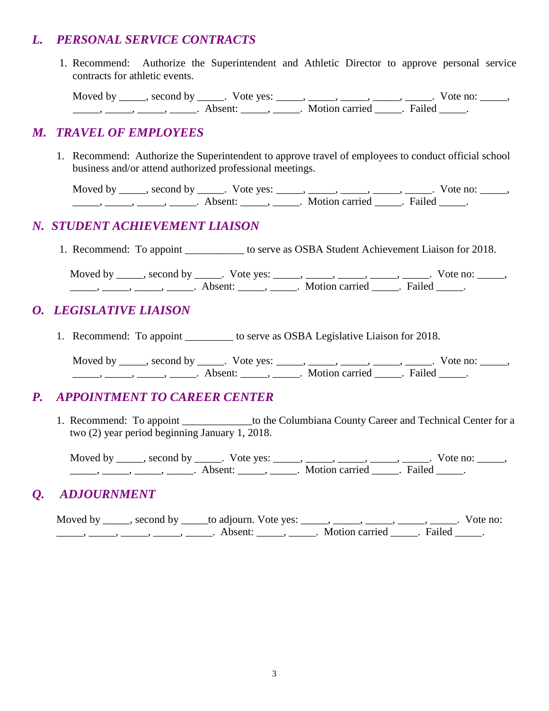### *L. PERSONAL SERVICE CONTRACTS*

1. Recommend: Authorize the Superintendent and Athletic Director to approve personal service contracts for athletic events.

Moved by \_\_\_\_\_, second by \_\_\_\_\_. Vote yes: \_\_\_\_\_, \_\_\_\_\_, \_\_\_\_\_, \_\_\_\_\_, \_\_\_\_\_. Vote no: \_\_\_\_\_, \_\_\_\_\_, \_\_\_\_\_, \_\_\_\_\_, \_\_\_\_\_. Absent: \_\_\_\_\_, \_\_\_\_\_. Motion carried \_\_\_\_\_. Failed \_\_\_\_\_.

### *M. TRAVEL OF EMPLOYEES*

 1. Recommend: Authorize the Superintendent to approve travel of employees to conduct official school business and/or attend authorized professional meetings.

Moved by \_\_\_\_\_, second by \_\_\_\_\_. Vote yes: \_\_\_\_\_, \_\_\_\_\_, \_\_\_\_\_, \_\_\_\_\_, \_\_\_\_\_. Vote no: \_\_\_\_\_, \_\_\_\_\_, \_\_\_\_\_, \_\_\_\_\_, \_\_\_\_\_. Absent: \_\_\_\_\_, \_\_\_\_\_. Motion carried \_\_\_\_\_. Failed \_\_\_\_\_.

## *N. STUDENT ACHIEVEMENT LIAISON*

1. Recommend: To appoint \_\_\_\_\_\_\_\_\_\_\_ to serve as OSBA Student Achievement Liaison for 2018.

Moved by \_\_\_\_\_, second by \_\_\_\_\_. Vote yes: \_\_\_\_\_, \_\_\_\_\_, \_\_\_\_\_, \_\_\_\_\_, \_\_\_\_\_. Vote no: \_\_\_\_\_, \_\_\_\_\_\_, \_\_\_\_\_, \_\_\_\_\_\_, Absent: \_\_\_\_\_, \_\_\_\_\_. Motion carried \_\_\_\_\_. Failed \_\_\_\_\_.

## *O. LEGISLATIVE LIAISON*

1. Recommend: To appoint to serve as OSBA Legislative Liaison for 2018.

Moved by \_\_\_\_\_, second by \_\_\_\_\_. Vote yes: \_\_\_\_\_, \_\_\_\_\_, \_\_\_\_\_, \_\_\_\_\_, \_\_\_\_\_. Vote no: \_\_\_\_\_, \_\_\_\_\_, \_\_\_\_\_, \_\_\_\_\_, \_\_\_\_\_. Absent: \_\_\_\_\_, \_\_\_\_\_. Motion carried \_\_\_\_\_. Failed \_\_\_\_\_.

## *P. APPOINTMENT TO CAREER CENTER*

1. Recommend: To appoint to the Columbiana County Career and Technical Center for a two (2) year period beginning January 1, 2018.

Moved by \_\_\_\_\_, second by \_\_\_\_\_. Vote yes: \_\_\_\_\_, \_\_\_\_\_, \_\_\_\_\_, \_\_\_\_\_, \_\_\_\_\_. Vote no: \_\_\_\_\_, \_\_\_\_\_\_, \_\_\_\_\_, \_\_\_\_\_\_, Absent: \_\_\_\_\_, \_\_\_\_\_. Motion carried \_\_\_\_\_. Failed \_\_\_\_\_.

## *Q. ADJOURNMENT*

Moved by  $\_\_\_\_\$ , second by  $\_\_\_\_$  to adjourn. Vote yes:  $\_\_\_\_\_\_\_\_\_\_\_\_\_\_\_$ ,  $\_\_\_\_\_\_\_\_\_\_\_\_\_$ . Vote no: \_\_\_\_\_\_, \_\_\_\_\_\_, \_\_\_\_\_, \_\_\_\_\_\_\_. Absent: \_\_\_\_\_\_, \_\_\_\_\_. Motion carried \_\_\_\_\_. Failed \_\_\_\_\_.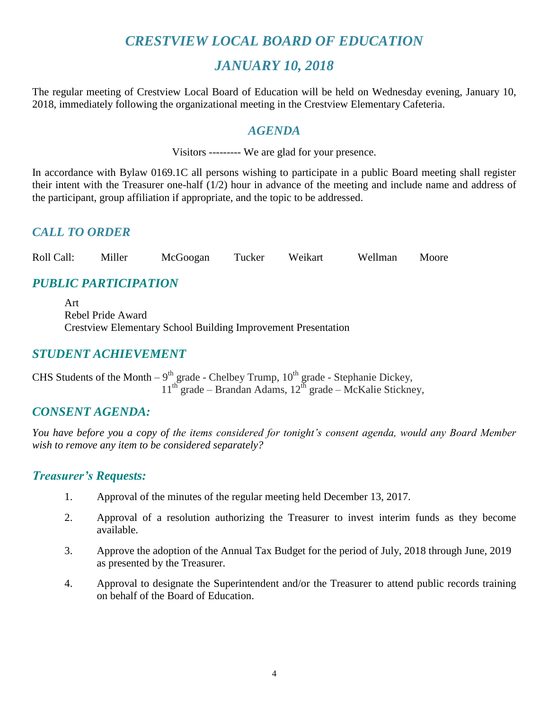## *CRESTVIEW LOCAL BOARD OF EDUCATION*

## *JANUARY 10, 2018*

The regular meeting of Crestview Local Board of Education will be held on Wednesday evening, January 10, 2018, immediately following the organizational meeting in the Crestview Elementary Cafeteria.

#### *AGENDA*

Visitors --------- We are glad for your presence.

In accordance with Bylaw 0169.1C all persons wishing to participate in a public Board meeting shall register their intent with the Treasurer one-half (1/2) hour in advance of the meeting and include name and address of the participant, group affiliation if appropriate, and the topic to be addressed.

## *CALL TO ORDER*

Roll Call: Miller McGoogan Tucker Weikart Wellman Moore

## *PUBLIC PARTICIPATION*

Art Rebel Pride Award Crestview Elementary School Building Improvement Presentation

## *STUDENT ACHIEVEMENT*

CHS Students of the Month – 9<sup>th</sup> grade - Chelbey Trump,  $10^{th}$  grade - Stephanie Dickey,  $11^{th}$  grade – Brandan Adams,  $12^{th}$  grade – McKalie Stickney,

## *CONSENT AGENDA:*

*You have before you a copy of the items considered for tonight's consent agenda, would any Board Member wish to remove any item to be considered separately?*

#### *Treasurer's Requests:*

- 1. Approval of the minutes of the regular meeting held December 13, 2017.
- 2. Approval of a resolution authorizing the Treasurer to invest interim funds as they become available.
- 3. Approve the adoption of the Annual Tax Budget for the period of July, 2018 through June, 2019 as presented by the Treasurer.
- 4. Approval to designate the Superintendent and/or the Treasurer to attend public records training on behalf of the Board of Education.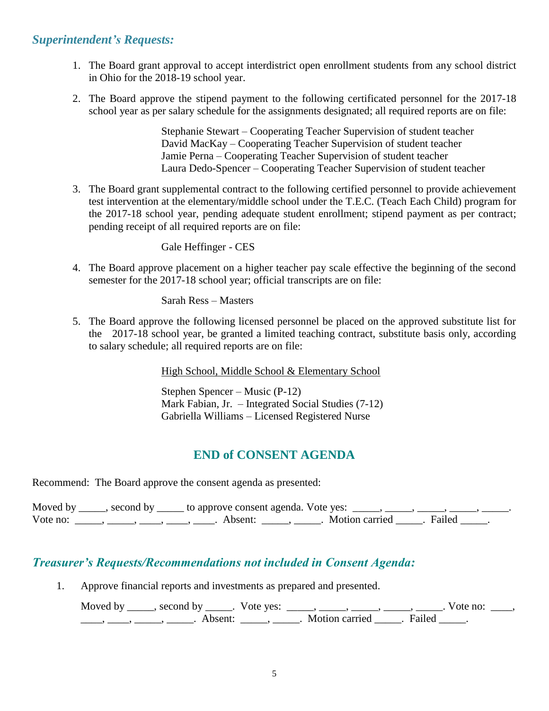#### *Superintendent's Requests:*

- 1. The Board grant approval to accept interdistrict open enrollment students from any school district in Ohio for the 2018-19 school year.
- 2. The Board approve the stipend payment to the following certificated personnel for the 2017-18 school year as per salary schedule for the assignments designated; all required reports are on file:

Stephanie Stewart – Cooperating Teacher Supervision of student teacher David MacKay – Cooperating Teacher Supervision of student teacher Jamie Perna – Cooperating Teacher Supervision of student teacher Laura Dedo-Spencer – Cooperating Teacher Supervision of student teacher

3. The Board grant supplemental contract to the following certified personnel to provide achievement test intervention at the elementary/middle school under the T.E.C. (Teach Each Child) program for the 2017-18 school year, pending adequate student enrollment; stipend payment as per contract; pending receipt of all required reports are on file:

Gale Heffinger - CES

4. The Board approve placement on a higher teacher pay scale effective the beginning of the second semester for the 2017-18 school year; official transcripts are on file:

Sarah Ress – Masters

5. The Board approve the following licensed personnel be placed on the approved substitute list for the 2017-18 school year, be granted a limited teaching contract, substitute basis only, according to salary schedule; all required reports are on file:

High School, Middle School & Elementary School

Stephen Spencer – Music (P-12) Mark Fabian, Jr. – Integrated Social Studies (7-12) Gabriella Williams – Licensed Registered Nurse

## **END of CONSENT AGENDA**

Recommend: The Board approve the consent agenda as presented:

| Moved by | , second by | y ______ to approve consent agenda. Vote yes: |                         |  |
|----------|-------------|-----------------------------------------------|-------------------------|--|
| Vote no: |             | Absent:                                       | Motion carried . Failed |  |

## *Treasurer's Requests/Recommendations not included in Consent Agenda:*

1. Approve financial reports and investments as prepared and presented.

Moved by \_\_\_\_\_, second by \_\_\_\_\_. Vote yes:  $\_\_\_\_\_\_\_\_\_\_\_\_\_\_\_$  \_\_\_\_\_, \_\_\_\_\_, \_\_\_\_\_. Vote no:  $\_\_\_\_\_\_\$ \_\_\_\_\_, \_\_\_\_\_\_, \_\_\_\_\_\_\_. Absent: \_\_\_\_\_\_, \_\_\_\_\_\_. Motion carried \_\_\_\_\_\_. Failed \_\_\_\_\_.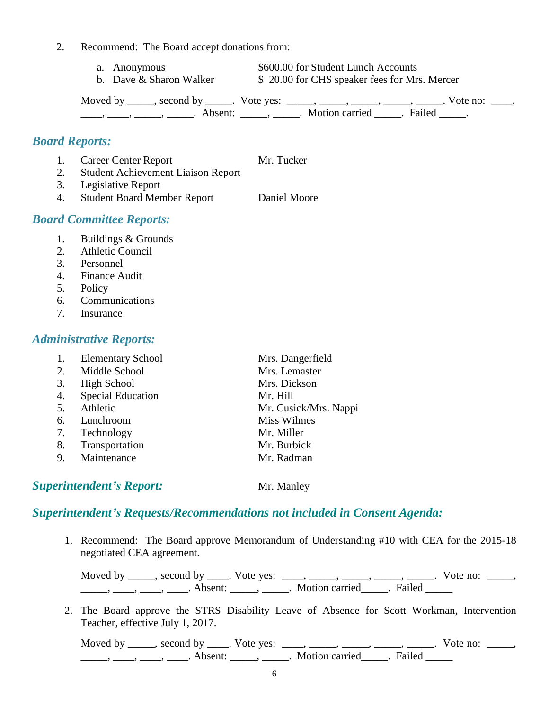- 2. Recommend: The Board accept donations from:
	- a. Anonymous \$600.00 for Student Lunch Accounts
	- b. Dave & Sharon Walker  $$ 20.00$  for CHS speaker fees for Mrs. Mercer

Moved by \_\_\_\_\_, second by \_\_\_\_\_. Vote yes: \_\_\_\_\_, \_\_\_\_\_, \_\_\_\_\_, \_\_\_\_\_, \_\_\_\_\_. Vote no: \_\_\_\_, ——, ——, ——, ———. Absent: \_\_\_\_\_, \_\_\_\_\_. Motion carried \_\_\_\_\_. Failed \_\_\_\_\_.

#### *Board Reports:*

1. Career Center Report Mr. Tucker 2. Student Achievement Liaison Report 3. Legislative Report 4. Student Board Member Report Daniel Moore

#### *Board Committee Reports:*

- 1. Buildings & Grounds
- 2. Athletic Council
- 3. Personnel
- 4. Finance Audit
- 5. Policy
- 6. Communications
- 7. Insurance

#### *Administrative Reports:*

|    | <b>Elementary School</b> | Mrs. Dangerfield      |
|----|--------------------------|-----------------------|
|    | 2. Middle School         | Mrs. Lemaster         |
| 3. | High School              | Mrs. Dickson          |
| 4. | <b>Special Education</b> | Mr. Hill              |
| 5. | Athletic                 | Mr. Cusick/Mrs. Nappi |
| 6. | Lunchroom                | <b>Miss Wilmes</b>    |
| 7. | Technology               | Mr. Miller            |
| 8. | Transportation           | Mr. Burbick           |
| 9. | Maintenance              | Mr. Radman            |
|    |                          |                       |

**Superintendent's Report:** Mr. Manley

## *Superintendent's Requests/Recommendations not included in Consent Agenda:*

1. Recommend: The Board approve Memorandum of Understanding #10 with CEA for the 2015-18 negotiated CEA agreement.

Moved by \_\_\_\_, second by \_\_\_\_. Vote yes:  $\frac{1}{\sqrt{2}}$ , \_\_\_\_, \_\_\_\_, \_\_\_\_, \_\_\_\_. Vote no: \_\_\_\_, \_\_\_\_\_\_, \_\_\_\_\_, \_\_\_\_\_\_. Absent: \_\_\_\_\_\_, \_\_\_\_\_\_. Motion carried \_\_\_\_\_. Failed \_\_\_\_\_

2. The Board approve the STRS Disability Leave of Absence for Scott Workman, Intervention Teacher, effective July 1, 2017.

Moved by \_\_\_\_\_, second by \_\_\_\_. Vote yes:  $\frac{1}{\sqrt{2}}$ , \_\_\_\_, \_\_\_\_, \_\_\_\_, \_\_\_\_. Vote no: \_\_\_\_, \_\_\_\_\_\_, \_\_\_\_\_, \_\_\_\_\_\_. Absent: \_\_\_\_\_\_, \_\_\_\_\_\_. Motion carried \_\_\_\_\_. Failed \_\_\_\_\_